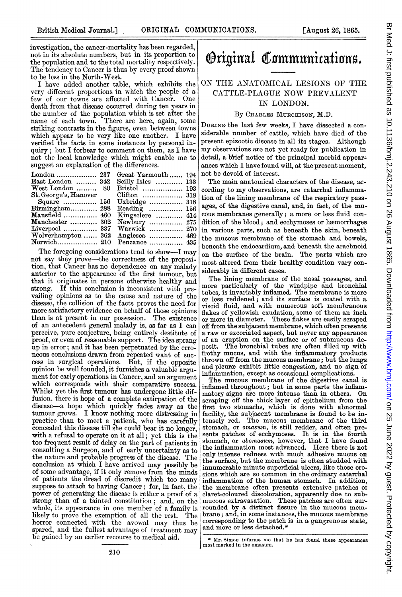investigation, the cancer-mortality has been regarded, not in its absolute numbers, but in its proportion to the population and to the total mortality respectively. The tendency to Cancer is thus by every proof shown to be less in the North-West.

I have added another table, which exhibits the very different proportions in which the people of a few of our towns are affected with Cancer. One death from that disease occurred during ten years in the number of the population which is set after the name of each town. There are here, again, some striking contrasts in the figures, even between towns which appear to be very like one another. I have verified the facts in some instances by personal inquiry; but I forbear to comment on them, as I have not the local knowledge which might enable me to suggest an explanation of the differences.

|                       | Great Yarmouth  194 |  |
|-----------------------|---------------------|--|
| East London  342      | Scilly Isles  133   |  |
| West London  80       | Bristol  193        |  |
| St. George's, Hanover |                     |  |
| Square  156           | Uxbridge  318       |  |
| Birmingham 288        | Reading  156        |  |
| Mansfield  460        | Kingsclere  414     |  |
| Manchester $302$      | Newbury  275        |  |
|                       | Warwick  270        |  |
| Wolverhampton  362    | Anglesea  469       |  |
|                       |                     |  |
|                       |                     |  |

The foregoing considerations tend to show-I may not say they prove—the correctness of the proposition, that Cancer has no dependence on any malady anterior to the appearance of the first tumour, but that it originates in persons otherwise healthy and strong. If this conclusion is inconsistent with prevailing opinions as to the cause and nature of the disease, the collision of the facts proves the need for more satisfactory evidence on behalf of those opinions than is at present in our possession. The existence of an antecedent general malady is, as far as I can perceive, pure conjecture, being entirely destitute of proof, or even of reasonable support. The idea sprang up in error; and it has been perpetuated by the erroneous conclusions drawn from repeated want of success in surgical operations. But, if the opposite opinion be well founded, it furnishes a valuable argument for early operations in Cancer, and an argument which corresponds with their comparative success. Whilst yet the first tumour has undergone little diffusion, there is hope of a complete extirpation of the disease-a hope which quickly fades away as the tumour grows. I know nothing more distressing in practice than to meet a patient, who has carefully concealed this disease till she could bear it no longer, with a refusal to operate on it at all; yet this is the too frequent result of delay on the part of patients in consulting a Surgeon, and of early uncertainty as to the nature and probable progress of the disease. The conclusion at which <sup>I</sup> have arrived may possibly be of some advantage, if it only remove from the minds of patients the dread of discredit which too many suppose to attach to having Cancer; for, in fact, the power of generating the disease is rather a proof of a strong than of a tainted constitution; and, on the whole, its appearance in one member of a family is likely to prove the exemption of all the rest. The likely to prove the exemption of all the rest. horror connected with the avowal may thus be spared, and the fullest advantage of treatment may be gained by an earlier recourse to medical aid.



## ON THE ANATOMICAL LESIONS OF THE CATTLE-PLAGUE NOW PREVALENT IN LONDON.

## By CHARLES MURCHISON, M.D.

DURING the last few weeks, I have dissected a considerable number of cattle, which have died of the present epizootic disease in all its stages. Although my observations are not yet ready for publication in detail, a brief notice of the principal morbid appearances which I have found will, at the present moment, not be devoid of interest.

The main anatomical characters of the disease, according to my observations, are catarrhal inflammation of the lining membrane of the respiratory passages, of the digestive canal, and, in fact, of the mucous membranes generally; a more or less fluid condition of the blood; and ecchymoses or hemorrhages in various parts, such as beneath the skin, beneath the mucous membrane of the stomach and bowels, beneath the endocardium, and beneath the arachnoid on the surface of the brain. The parts which are most altered from their healthy condition vary considerably in different cases.

The lining membrane of the nasal passages, and more particularly of the windpipe and bronchial tubes, is invariably inflamed. The membrane is more or less reddened; and its surface is coated with a viscid fluid, and with numerous soft membranous flakes of yellowish exudation, some of them an inch or more in diameter. These flakes are easily scraped off from the subjacent membrane, which often presents a raw or excoriated aspect, but never any appearance of an eruption on the surface or of submucous de-The bronchial tubes are often filled up with frothy mucus, and with the inflammatory products thrown off from the mucous membrane; but the lungs and pleurae exhibit little congestion, and no sign of inflammation, except as occasional complications.

The mucous membrane of the digestive canal is inflamed throughout; but in some- parts the inflammatory signs are more intense than in others. On scraping off the thick layer of epithelium from the first two stomachs, which is done with abnormal facility, the subjacent membrane is found to be intensely red. The mucous membrane of the third stomach, or omasum, is still redder, and often presents patches of ecchymoses. It is in the fourth stomach, or *abomasum*, however, that I have found the inflammation most advanced. Here there is not only intense redness with much adhesive mucus on the surface, but the membrane is often studded with innumerable minute superficial ulcers, like those erosions which are so common in the ordinary catarrhal inflammation of the human stomach. In addition, the membrane often presents extensive patches of claret-coloured discoloration, apparently due to sub-mucous extravasation. These patches are often surrounded by a distinct fissure in the mucous membrane; and, in some instances, the mucous membrane corresponding to the patch is in a gangrenous state,. and more or less detached.\*

\* Mr. Simon informs me that he has found these appearances most marked in the omasum.